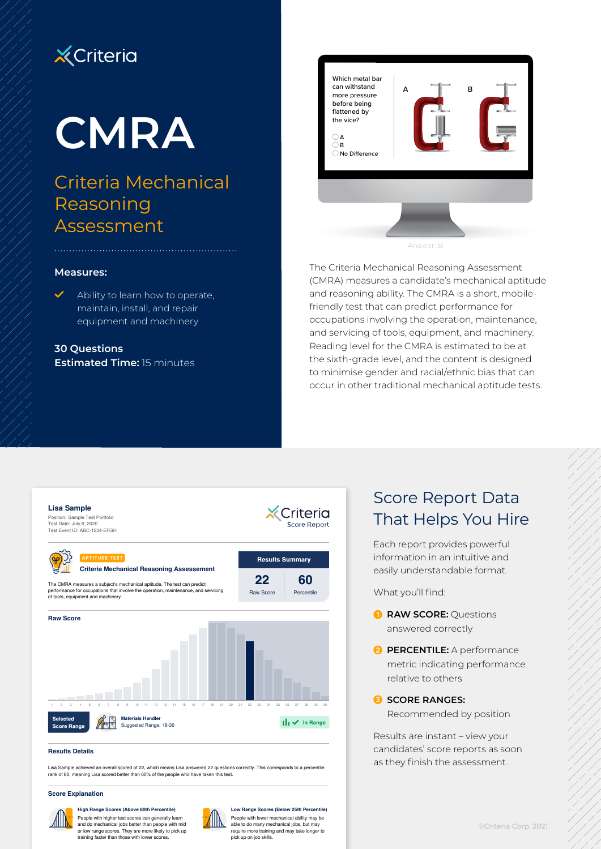# **X** Criteria

# **CMRA**

# Criteria Mechanical Reasoning Assessment

## Which metal bar can withstand more pressure before being flattened by the vice?  $\bigcap$  A  $\overline{\bigcirc}$  B  $\bigcirc$  No Difference A B

The Criteria Mechanical Reasoning Assessment (CMRA) measures a candidate's mechanical aptitude and reasoning ability. The CMRA is a short, mobilefriendly test that can predict performance for occupations involving the operation, maintenance, and servicing of tools, equipment, and machinery. Reading level for the CMRA is estimated to be at the sixth-grade level, and the content is designed to minimise gender and racial/ethnic bias that can occur in other traditional mechanical aptitude tests.

#### **Measures:**

̃ Ability to learn how to operate, maintain, install, and repair equipment and machinery

**30 Questions Estimated Time:** 15 minutes



#### **Results Details**

Lisa Sample achieved an overall scored of 22, which means Lisa answered 22 questions correctly. This corresponds to a percentile rank of 60, meaning Lisa scored better than 60% of the people who have taken this test.

#### **Score Explanation**



People with higher test scores can generally learn and do mechanical jobs better than people with mid or low range scores. They are more likely to pick up training faster than those with lower scores.



People with lower mechanical ability may be **Low Range Scores (Below 25th Percentile)**

able to do many mechanical jobs, but may require more training and may take longer to pick up on job skills.

## Score Report Data That Helps You Hire

Each report provides powerful information in an intuitive and easily understandable format.

What you'll find:

- **1 RAW SCORE:** Questions answered correctly
- **2 PERCENTILE:** A performance metric indicating performance relative to others

**3 SCORE RANGES:** 

Recommended by position

Results are instant – view your candidates' score reports as soon as they finish the assessment.